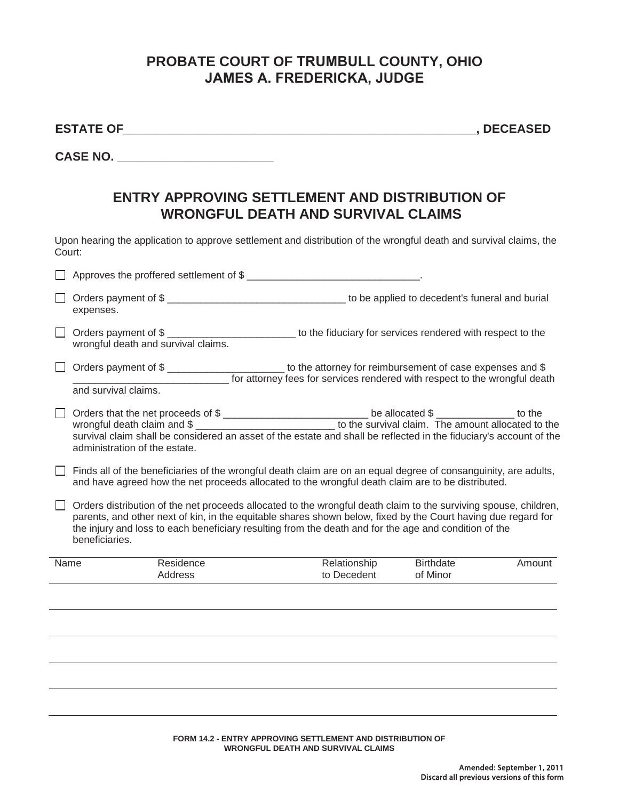## **PROBATE COURT OF TRUMBULL COUNTY, OHIO JAMES A. FREDERICKA, JUDGE**

| <b>STAT</b> | ⊢<br>. . |  |
|-------------|----------|--|
|             |          |  |

**ESTATE OF\_\_\_\_\_\_\_\_\_\_\_\_\_\_\_\_\_\_\_\_\_\_\_\_\_\_\_\_\_\_\_\_\_\_\_\_\_\_\_\_\_\_\_\_\_\_\_\_\_\_\_\_, DECEASED** 

**CASE NO.** *CASE NO.* 

## **ENTRY APPROVING SETTLEMENT AND DISTRIBUTION OF WRONGFUL DEATH AND SURVIVAL CLAIMS**

Upon hearing the application to approve settlement and distribution of the wrongful death and survival claims, the Court:

|      | Approves the proffered settlement of \$                                                                                                                                                                                                                                                                                                                      |                             |                       |        |  |  |  |
|------|--------------------------------------------------------------------------------------------------------------------------------------------------------------------------------------------------------------------------------------------------------------------------------------------------------------------------------------------------------------|-----------------------------|-----------------------|--------|--|--|--|
|      | expenses.                                                                                                                                                                                                                                                                                                                                                    |                             | Orders payment of \$  |        |  |  |  |
|      | Orders payment of \$<br>wrongful death and survival claims.                                                                                                                                                                                                                                                                                                  |                             |                       |        |  |  |  |
|      | Orders payment of \$<br>for attorney fees for services rendered with respect to the wrongful death<br>and survival claims.                                                                                                                                                                                                                                   |                             |                       |        |  |  |  |
|      | Orders that the net proceeds of \$<br>wrongful death claim and \$ ________________________________ to the survival claim. The amount allocated to the<br>survival claim shall be considered an asset of the estate and shall be reflected in the fiduciary's account of the<br>administration of the estate.                                                 |                             |                       |        |  |  |  |
|      | Finds all of the beneficiaries of the wrongful death claim are on an equal degree of consanguinity, are adults,<br>and have agreed how the net proceeds allocated to the wrongful death claim are to be distributed.                                                                                                                                         |                             |                       |        |  |  |  |
|      | Orders distribution of the net proceeds allocated to the wrongful death claim to the surviving spouse, children,<br>parents, and other next of kin, in the equitable shares shown below, fixed by the Court having due regard for<br>the injury and loss to each beneficiary resulting from the death and for the age and condition of the<br>beneficiaries. |                             |                       |        |  |  |  |
| Name | Residence<br>Address                                                                                                                                                                                                                                                                                                                                         | Relationship<br>to Decedent | Birthdate<br>of Minor | Amount |  |  |  |
|      |                                                                                                                                                                                                                                                                                                                                                              |                             |                       |        |  |  |  |
|      |                                                                                                                                                                                                                                                                                                                                                              |                             |                       |        |  |  |  |